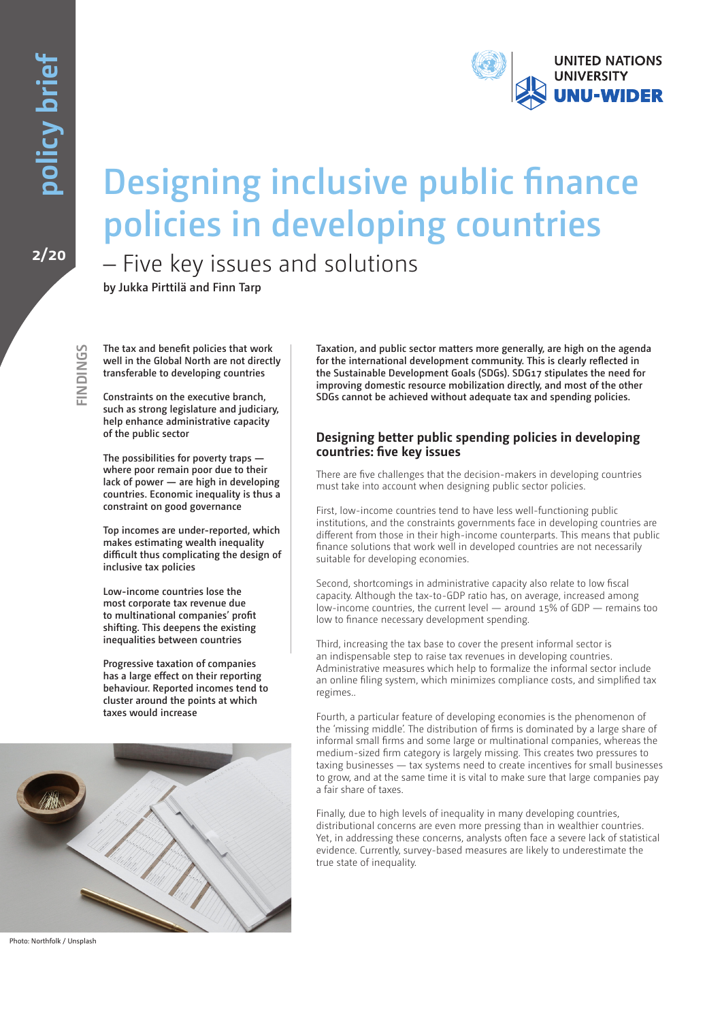**2/20**



# **Designing inclusive public finance policies in developing countries**

# – Five key issues and solutions

**by Jukka Pirttilä and Finn Tarp**

**The tax and benefit policies that work well in the Global North are not directly transferable to developing countries**

**Constraints on the executive branch, such as strong legislature and judiciary, help enhance administrative capacity of the public sector**

**The possibilities for poverty traps where poor remain poor due to their lack of power — are high in developing countries. Economic inequality is thus a constraint on good governance**

**Top incomes are under-reported, which makes estimating wealth inequality difficult thus complicating the design of inclusive tax policies**

**Low-income countries lose the most corporate tax revenue due to multinational companies' profit shifting. This deepens the existing inequalities between countries**

**Progressive taxation of companies has a large effect on their reporting behaviour. Reported incomes tend to cluster around the points at which taxes would increase**



Photo: Northfolk / Unsplash

**Taxation, and public sector matters more generally, are high on the agenda for the international development community. This is clearly reflected in the Sustainable Development Goals (SDGs). SDG17 stipulates the need for improving domestic resource mobilization directly, and most of the other SDGs cannot be achieved without adequate tax and spending policies.**

## **Designing better public spending policies in developing countries: five key issues**

There are five challenges that the decision-makers in developing countries must take into account when designing public sector policies.

First, low-income countries tend to have less well-functioning public institutions, and the constraints governments face in developing countries are different from those in their high-income counterparts. This means that public finance solutions that work well in developed countries are not necessarily suitable for developing economies.

Second, shortcomings in administrative capacity also relate to low fiscal capacity. Although the tax-to-GDP ratio has, on average, increased among low-income countries, the current level — around 15% of GDP — remains too low to finance necessary development spending.

Third, increasing the tax base to cover the present informal sector is an indispensable step to raise tax revenues in developing countries. Administrative measures which help to formalize the informal sector include an online filing system, which minimizes compliance costs, and simplified tax regimes..

Fourth, a particular feature of developing economies is the phenomenon of the 'missing middle'. The distribution of firms is dominated by a large share of informal small firms and some large or multinational companies, whereas the medium-sized firm category is largely missing. This creates two pressures to taxing businesses — tax systems need to create incentives for small businesses to grow, and at the same time it is vital to make sure that large companies pay a fair share of taxes.

Finally, due to high levels of inequality in many developing countries, distributional concerns are even more pressing than in wealthier countries. Yet, in addressing these concerns, analysts often face a severe lack of statistical evidence. Currently, survey-based measures are likely to underestimate the true state of inequality.